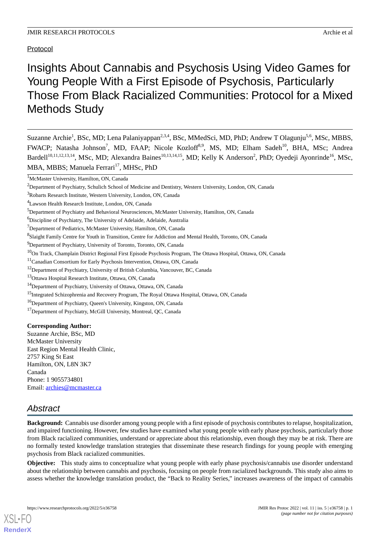# Protocol

Insights About Cannabis and Psychosis Using Video Games for Young People With a First Episode of Psychosis, Particularly Those From Black Racialized Communities: Protocol for a Mixed Methods Study

Suzanne Archie<sup>1</sup>, BSc, MD; Lena Palaniyappan<sup>2,3,4</sup>, BSc, MMedSci, MD, PhD; Andrew T Olagunju<sup>5,6</sup>, MSc, MBBS, FWACP; Natasha Johnson<sup>7</sup>, MD, FAAP; Nicole Kozloff<sup>8,9</sup>, MS, MD; Elham Sadeh<sup>10</sup>, BHA, MSc; Andrea Bardell<sup>10,11,12,13,14</sup>, MSc, MD; Alexandra Baines<sup>10,13,14,15</sup>, MD; Kelly K Anderson<sup>2</sup>, PhD; Oyedeji Ayonrinde<sup>16</sup>, MSc, MBA, MBBS; Manuela Ferrari<sup>17</sup>, MHSc, PhD

<sup>9</sup>Department of Psychiatry, University of Toronto, Toronto, ON, Canada

### **Corresponding Author:**

Suzanne Archie, BSc, MD McMaster University East Region Mental Health Clinic, 2757 King St East Hamilton, ON, L8N 3K7 Canada Phone: 1 9055734801 Email: [archies@mcmaster.ca](mailto:archies@mcmaster.ca)

# *Abstract*

[XSL](http://www.w3.org/Style/XSL)•FO **[RenderX](http://www.renderx.com/)**

**Background:** Cannabis use disorder among young people with a first episode of psychosis contributes to relapse, hospitalization, and impaired functioning. However, few studies have examined what young people with early phase psychosis, particularly those from Black racialized communities, understand or appreciate about this relationship, even though they may be at risk. There are no formally tested knowledge translation strategies that disseminate these research findings for young people with emerging psychosis from Black racialized communities.

**Objective:** This study aims to conceptualize what young people with early phase psychosis/cannabis use disorder understand about the relationship between cannabis and psychosis, focusing on people from racialized backgrounds. This study also aims to assess whether the knowledge translation product, the "Back to Reality Series," increases awareness of the impact of cannabis

<sup>&</sup>lt;sup>1</sup>McMaster University, Hamilton, ON, Canada

<sup>2</sup>Department of Psychiatry, Schulich School of Medicine and Dentistry, Western University, London, ON, Canada

<sup>3</sup>Robarts Research Institute, Western University, London, ON, Canada

<sup>4</sup>Lawson Health Research Institute, London, ON, Canada

<sup>5</sup>Department of Psychiatry and Behavioral Neurosciences, McMaster University, Hamilton, ON, Canada

<sup>6</sup>Discipline of Psychiatry, The University of Adelaide, Adelaide, Australia

<sup>7</sup>Department of Pediatrics, McMaster University, Hamilton, ON, Canada

<sup>&</sup>lt;sup>8</sup>Slaight Family Centre for Youth in Transition, Centre for Addiction and Mental Health, Toronto, ON, Canada

<sup>&</sup>lt;sup>10</sup>On Track, Champlain District Regional First Episode Psychosis Program, The Ottawa Hospital, Ottawa, ON, Canada

<sup>11</sup>Canadian Consortium for Early Psychosis Intervention, Ottawa, ON, Canada

<sup>&</sup>lt;sup>12</sup>Department of Psychiatry, University of British Columbia, Vancouver, BC, Canada

<sup>13</sup>Ottawa Hospital Research Institute, Ottawa, ON, Canada

<sup>14</sup>Department of Psychiatry, University of Ottawa, Ottawa, ON, Canada

<sup>&</sup>lt;sup>15</sup>Integrated Schizophrenia and Recovery Program, The Royal Ottawa Hospital, Ottawa, ON, Canada

<sup>&</sup>lt;sup>16</sup>Department of Psychiatry, Queen's University, Kingston, ON, Canada

<sup>&</sup>lt;sup>17</sup>Department of Psychiatry, McGill University, Montreal, OC, Canada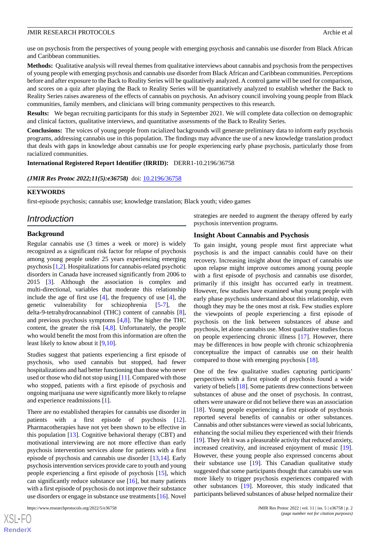use on psychosis from the perspectives of young people with emerging psychosis and cannabis use disorder from Black African and Caribbean communities.

**Methods:** Qualitative analysis will reveal themes from qualitative interviews about cannabis and psychosis from the perspectives of young people with emerging psychosis and cannabis use disorder from Black African and Caribbean communities. Perceptions before and after exposure to the Back to Reality Series will be qualitatively analyzed. A control game will be used for comparison, and scores on a quiz after playing the Back to Reality Series will be quantitatively analyzed to establish whether the Back to Reality Series raises awareness of the effects of cannabis on psychosis. An advisory council involving young people from Black communities, family members, and clinicians will bring community perspectives to this research.

**Results:** We began recruiting participants for this study in September 2021. We will complete data collection on demographic and clinical factors, qualitative interviews, and quantitative assessments of the Back to Reality Series.

**Conclusions:** The voices of young people from racialized backgrounds will generate preliminary data to inform early psychosis programs, addressing cannabis use in this population. The findings may advance the use of a new knowledge translation product that deals with gaps in knowledge about cannabis use for people experiencing early phase psychosis, particularly those from racialized communities.

**International Registered Report Identifier (IRRID):** DERR1-10.2196/36758

*(JMIR Res Protoc 2022;11(5):e36758)* doi: [10.2196/36758](http://dx.doi.org/10.2196/36758)

### **KEYWORDS**

first-episode psychosis; cannabis use; knowledge translation; Black youth; video games

# *Introduction*

#### **Background**

Regular cannabis use (3 times a week or more) is widely recognized as a significant risk factor for relapse of psychosis among young people under 25 years experiencing emerging psychosis [\[1](#page-8-0),[2\]](#page-8-1). Hospitalizations for cannabis-related psychotic disorders in Canada have increased significantly from 2006 to 2015 [\[3](#page-8-2)]. Although the association is complex and multi-directional, variables that moderate this relationship include the age of first use [[4\]](#page-8-3), the frequency of use [\[4](#page-8-3)], the genetic vulnerability for schizophrenia [[5-](#page-8-4)[7](#page-9-0)], the delta-9-tetrahydrocannabinol (THC) content of cannabis [[8\]](#page-9-1), and previous psychosis symptoms [\[4](#page-8-3),[8\]](#page-9-1). The higher the THC content, the greater the risk [[4,](#page-8-3)[8](#page-9-1)]. Unfortunately, the people who would benefit the most from this information are often the least likely to know about it [\[9](#page-9-2),[10\]](#page-9-3).

Studies suggest that patients experiencing a first episode of psychosis, who used cannabis but stopped, had fewer hospitalizations and had better functioning than those who never used or those who did not stop using [[11\]](#page-9-4). Compared with those who stopped, patients with a first episode of psychosis and ongoing marijuana use were significantly more likely to relapse and experience readmissions [\[1](#page-8-0)].

There are no established therapies for cannabis use disorder in patients with a first episode of psychosis [[12\]](#page-9-5). Pharmacotherapies have not yet been shown to be effective in this population [\[13](#page-9-6)]. Cognitive behavioral therapy (CBT) and motivational interviewing are not more effective than early psychosis intervention services alone for patients with a first episode of psychosis and cannabis use disorder [[13](#page-9-6)[,14](#page-9-7)]. Early psychosis intervention services provide care to youth and young people experiencing a first episode of psychosis [[15\]](#page-9-8), which can significantly reduce substance use [[16\]](#page-9-9), but many patients with a first episode of psychosis do not improve their substance use disorders or engage in substance use treatments [[16\]](#page-9-9). Novel

[XSL](http://www.w3.org/Style/XSL)•FO **[RenderX](http://www.renderx.com/)** strategies are needed to augment the therapy offered by early psychosis intervention programs.

### **Insight About Cannabis and Psychosis**

To gain insight, young people must first appreciate what psychosis is and the impact cannabis could have on their recovery. Increasing insight about the impact of cannabis use upon relapse might improve outcomes among young people with a first episode of psychosis and cannabis use disorder, primarily if this insight has occurred early in treatment. However, few studies have examined what young people with early phase psychosis understand about this relationship, even though they may be the ones most at risk. Few studies explore the viewpoints of people experiencing a first episode of psychosis on the link between substances of abuse and psychosis, let alone cannabis use. Most qualitative studies focus on people experiencing chronic illness [[17\]](#page-9-10). However, there may be differences in how people with chronic schizophrenia conceptualize the impact of cannabis use on their health compared to those with emerging psychosis [\[18](#page-9-11)].

One of the few qualitative studies capturing participants' perspectives with a first episode of psychosis found a wide variety of beliefs [\[18](#page-9-11)]. Some patients drew connections between substances of abuse and the onset of psychosis. In contrast, others were unaware or did not believe there was an association [[18\]](#page-9-11). Young people experiencing a first episode of psychosis reported several benefits of cannabis or other substances. Cannabis and other substances were viewed as social lubricants, enhancing the social milieu they experienced with their friends [[19\]](#page-9-12). They felt it was a pleasurable activity that reduced anxiety, increased creativity, and increased enjoyment of music [[19\]](#page-9-12). However, these young people also expressed concerns about their substance use [[19\]](#page-9-12). This Canadian qualitative study suggested that some participants thought that cannabis use was more likely to trigger psychosis experiences compared with other substances [\[19](#page-9-12)]. Moreover, this study indicated that participants believed substances of abuse helped normalize their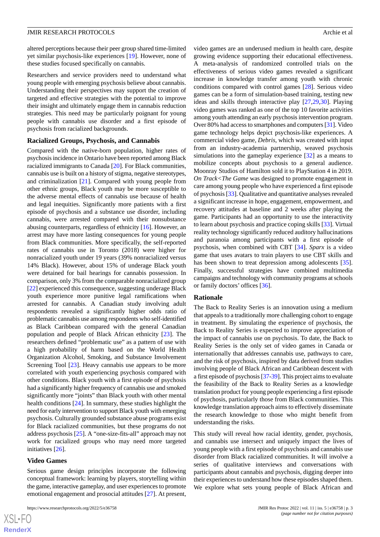altered perceptions because their peer group shared time-limited yet similar psychosis-like experiences [\[19](#page-9-12)]. However, none of these studies focused specifically on cannabis.

Researchers and service providers need to understand what young people with emerging psychosis believe about cannabis. Understanding their perspectives may support the creation of targeted and effective strategies with the potential to improve their insight and ultimately engage them in cannabis reduction strategies. This need may be particularly poignant for young people with cannabis use disorder and a first episode of psychosis from racialized backgrounds.

#### **Racialized Groups, Psychosis, and Cannabis**

Compared with the native-born population, higher rates of psychosis incidence in Ontario have been reported among Black racialized immigrants to Canada [[20\]](#page-9-13). For Black communities, cannabis use is built on a history of stigma, negative stereotypes, and criminalization [[21\]](#page-9-14). Compared with young people from other ethnic groups, Black youth may be more susceptible to the adverse mental effects of cannabis use because of health and legal inequities. Significantly more patients with a first episode of psychosis and a substance use disorder, including cannabis, were arrested compared with their nonsubstance abusing counterparts, regardless of ethnicity [[16\]](#page-9-9). However, an arrest may have more lasting consequences for young people from Black communities. More specifically, the self-reported rates of cannabis use in Toronto (2018) were higher for nonracialized youth under 19 years (39% nonracialized versus 14% Black). However, about 15% of underage Black youth were detained for bail hearings for cannabis possession. In comparison, only 3% from the comparable nonracialized group [[22\]](#page-9-15) experienced this consequence, suggesting underage Black youth experience more punitive legal ramifications when arrested for cannabis. A Canadian study involving adult respondents revealed a significantly higher odds ratio of problematic cannabis use among respondents who self-identified as Black Caribbean compared with the general Canadian population and people of Black African ethnicity [\[23](#page-9-16)]. The researchers defined "problematic use" as a pattern of use with a high probability of harm based on the World Health Organization Alcohol, Smoking, and Substance Involvement Screening Tool [\[23](#page-9-16)]. Heavy cannabis use appears to be more correlated with youth experiencing psychosis compared with other conditions. Black youth with a first episode of psychosis had a significantly higher frequency of cannabis use and smoked significantly more "joints" than Black youth with other mental health conditions [[24\]](#page-9-17). In summary, these studies highlight the need for early intervention to support Black youth with emerging psychosis. Culturally grounded substance abuse programs exist for Black racialized communities, but these programs do not address psychosis [\[25](#page-9-18)]. A "one-size-fits-all" approach may not work for racialized groups who may need more targeted initiatives [\[26](#page-10-0)].

#### **Video Games**

 $XSJ \cdot F$ **[RenderX](http://www.renderx.com/)**

Serious game design principles incorporate the following conceptual framework: learning by players, storytelling within the game, interactive gameplay, and user experiences to promote emotional engagement and prosocial attitudes [\[27](#page-10-1)]. At present,

video games are an underused medium in health care, despite growing evidence supporting their educational effectiveness. A meta-analysis of randomized controlled trials on the effectiveness of serious video games revealed a significant increase in knowledge transfer among youth with chronic conditions compared with control games [[28\]](#page-10-2). Serious video games can be a form of simulation-based training, testing new ideas and skills through interactive play [\[27](#page-10-1),[29](#page-10-3)[,30](#page-10-4)]. Playing video games was ranked as one of the top 10 favorite activities among youth attending an early psychosis intervention program. Over 80% had access to smartphones and computers [[31\]](#page-10-5). Video game technology helps depict psychosis-like experiences. A commercial video game, *Debris*, which was created with input from an industry-academia partnership, weaved psychosis simulations into the gameplay experience [[32\]](#page-10-6) as a means to mobilize concepts about psychosis to a general audience. Moonray Studios of Hamilton sold it to PlayStation 4 in 2019. *On Track<The Game* was designed to promote engagement in care among young people who have experienced a first episode of psychosis [\[33](#page-10-7)]. Qualitative and quantitative analyses revealed a significant increase in hope, engagement, empowerment, and recovery attitudes at baseline and 2 weeks after playing the game. Participants had an opportunity to use the interactivity to learn about psychosis and practice coping skills [\[33](#page-10-7)]. Virtual reality technology significantly reduced auditory hallucinations and paranoia among participants with a first episode of psychosis, when combined with CBT [\[34](#page-10-8)]. *Sparx* is a video game that uses avatars to train players to use CBT skills and has been shown to treat depression among adolescents [[35\]](#page-10-9). Finally, successful strategies have combined multimedia campaigns and technology with community programs at schools or family doctors' offices [\[36](#page-10-10)].

### **Rationale**

The Back to Reality Series is an innovation using a medium that appeals to a traditionally more challenging cohort to engage in treatment. By simulating the experience of psychosis, the Back to Reality Series is expected to improve appreciation of the impact of cannabis use on psychosis. To date, the Back to Reality Series is the only set of video games in Canada or internationally that addresses cannabis use, pathways to care, and the risk of psychosis, inspired by data derived from studies involving people of Black African and Caribbean descent with a first episode of psychosis [\[37](#page-10-11)[-39\]](#page-10-12). This project aims to evaluate the feasibility of the Back to Reality Series as a knowledge translation product for young people experiencing a first episode of psychosis, particularly those from Black communities. This knowledge translation approach aims to effectively disseminate the research knowledge to those who might benefit from understanding the risks.

This study will reveal how racial identity, gender, psychosis, and cannabis use intersect and uniquely impact the lives of young people with a first episode of psychosis and cannabis use disorder from Black racialized communities. It will involve a series of qualitative interviews and conversations with participants about cannabis and psychosis, digging deeper into their experiences to understand how these episodes shaped them. We explore what sets young people of Black African and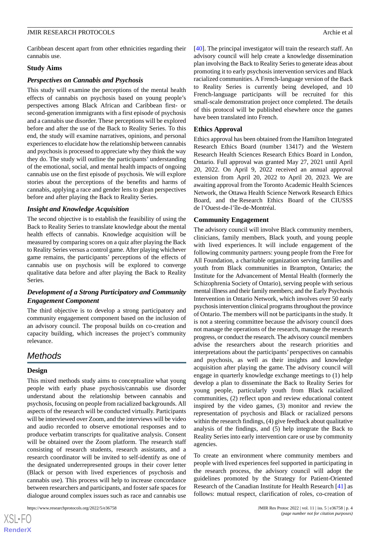Caribbean descent apart from other ethnicities regarding their cannabis use.

### **Study Aims**

#### *Perspectives on Cannabis and Psychosis*

This study will examine the perceptions of the mental health effects of cannabis on psychosis based on young people's perspectives among Black African and Caribbean first- or second-generation immigrants with a first episode of psychosis and a cannabis use disorder. These perceptions will be explored before and after the use of the Back to Reality Series. To this end, the study will examine narratives, opinions, and personal experiences to elucidate how the relationship between cannabis and psychosis is processed to appreciate why they think the way they do. The study will outline the participants' understanding of the emotional, social, and mental health impacts of ongoing cannabis use on the first episode of psychosis. We will explore stories about the perceptions of the benefits and harms of cannabis, applying a race and gender lens to glean perspectives before and after playing the Back to Reality Series.

### *Insight and Knowledge Acquisition*

The second objective is to establish the feasibility of using the Back to Reality Series to translate knowledge about the mental health effects of cannabis. Knowledge acquisition will be measured by comparing scores on a quiz after playing the Back to Reality Series versus a control game. After playing whichever game remains, the participants' perceptions of the effects of cannabis use on psychosis will be explored to converge qualitative data before and after playing the Back to Reality Series.

# *Development of a Strong Participatory and Community Engagement Component*

The third objective is to develop a strong participatory and community engagement component based on the inclusion of an advisory council. The proposal builds on co-creation and capacity building, which increases the project's community relevance.

# *Methods*

### **Design**

 $XS$ -FO **[RenderX](http://www.renderx.com/)**

This mixed methods study aims to conceptualize what young people with early phase psychosis/cannabis use disorder understand about the relationship between cannabis and psychosis, focusing on people from racialized backgrounds. All aspects of the research will be conducted virtually. Participants will be interviewed over Zoom, and the interviews will be video and audio recorded to observe emotional responses and to produce verbatim transcripts for qualitative analysis. Consent will be obtained over the Zoom platform. The research staff consisting of research students, research assistants, and a research coordinator will be invited to self-identify as one of the designated underrepresented groups in their cover letter (Black or person with lived experiences of psychosis and cannabis use). This process will help to increase concordance between researchers and participants, and foster safe spaces for dialogue around complex issues such as race and cannabis use

[[40\]](#page-10-13). The principal investigator will train the research staff. An advisory council will help create a knowledge dissemination plan involving the Back to Reality Series to generate ideas about promoting it to early psychosis intervention services and Black racialized communities. A French-language version of the Back to Reality Series is currently being developed, and 10 French-language participants will be recruited for this small-scale demonstration project once completed. The details of this protocol will be published elsewhere once the games have been translated into French.

### **Ethics Approval**

Ethics approval has been obtained from the Hamilton Integrated Research Ethics Board (number 13417) and the Western Research Health Sciences Research Ethics Board in London, Ontario. Full approval was granted May 27, 2021 until April 20, 2022. On April 9, 2022 received an annual approval extension from April 20, 2022 to April 20, 2023. We are awaiting approval from the Toronto Academic Health Sciences Network, the Ottawa Health Science Network Research Ethics Board, and the Research Ethics Board of the CIUSSS de l'Ouest-de-l'île-de-Montréal.

### **Community Engagement**

The advisory council will involve Black community members, clinicians, family members, Black youth, and young people with lived experiences. It will include engagement of the following community partners: young people from the Free for All Foundation, a charitable organization serving families and youth from Black communities in Brampton, Ontario; the Institute for the Advancement of Mental Health (formerly the Schizophrenia Society of Ontario), serving people with serious mental illness and their family members; and the Early Psychosis Intervention in Ontario Network, which involves over 50 early psychosis intervention clinical programs throughout the province of Ontario. The members will not be participants in the study. It is not a steering committee because the advisory council does not manage the operations of the research, manage the research progress, or conduct the research. The advisory council members advise the researchers about the research priorities and interpretations about the participants' perspectives on cannabis and psychosis, as well as their insights and knowledge acquisition after playing the game. The advisory council will engage in quarterly knowledge exchange meetings to (1) help develop a plan to disseminate the Back to Reality Series for young people, particularly youth from Black racialized communities, (2) reflect upon and review educational content inspired by the video games, (3) monitor and review the representation of psychosis and Black or racialized persons within the research findings, (4) give feedback about qualitative analysis of the findings, and (5) help integrate the Back to Reality Series into early intervention care or use by community agencies.

To create an environment where community members and people with lived experiences feel supported in participating in the research process, the advisory council will adopt the guidelines promoted by the Strategy for Patient-Oriented Research of the Canadian Institute for Health Research [[41\]](#page-10-14) as follows: mutual respect, clarification of roles, co-creation of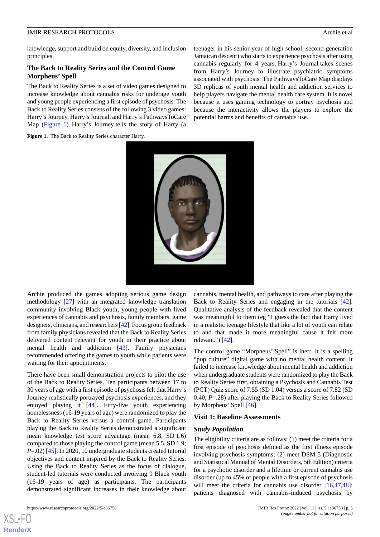knowledge, support and build on equity, diversity, and inclusion principles.

### **The Back to Reality Series and the Control Game Morpheus' Spell**

The Back to Reality Series is a set of video games designed to increase knowledge about cannabis risks for underage youth and young people experiencing a first episode of psychosis. The Back to Reality Series consists of the following 3 video games: Harry's Journey, Harry's Journal, and Harry's PathwaysToCare Map ([Figure 1](#page-4-0)). Harry's Journey tells the story of Harry (a teenager in his senior year of high school; second-generation Jamaican descent) who starts to experience psychosis after using cannabis regularly for 4 years. Harry's Journal takes scenes from Harry's Journey to illustrate psychiatric symptoms associated with psychosis. The PathwaysToCare Map displays 3D replicas of youth mental health and addiction services to help players navigate the mental health care system. It is novel because it uses gaming technology to portray psychosis and because the interactivity allows the players to explore the potential harms and benefits of cannabis use.

<span id="page-4-0"></span>



Archie produced the games adopting serious game design methodology [\[27](#page-10-1)] with an integrated knowledge translation community involving Black youth, young people with lived experiences of cannabis and psychosis, family members, game designers, clinicians, and researchers [[42](#page-10-15)]. Focus group feedback from family physicians revealed that the Back to Reality Series delivered content relevant for youth in their practice about mental health and addiction [[43\]](#page-10-16). Family physicians recommended offering the games to youth while patients were waiting for their appointments.

There have been small demonstration projects to pilot the use of the Back to Reality Series. Ten participants between 17 to 30 years of age with a first episode of psychosis felt that Harry's Journey realistically portrayed psychosis experiences, and they enjoyed playing it [\[44](#page-10-17)]. Fifty-five youth experiencing homelessness (16-19 years of age) were randomized to play the Back to Reality Series versus a control game. Participants playing the Back to Reality Series demonstrated a significant mean knowledge test score advantage (mean 6.8, SD 1.6) compared to those playing the control game (mean 5.5, SD 1.9; *P*=.02) [\[45](#page-10-18)]. In 2020, 10 undergraduate students created tutorial objectives and content inspired by the Back to Reality Series. Using the Back to Reality Series as the focus of dialogue, student-led tutorials were conducted involving 9 Black youth (16-19 years of age) as participants. The participants demonstrated significant increases in their knowledge about

[XSL](http://www.w3.org/Style/XSL)•FO **[RenderX](http://www.renderx.com/)**

cannabis, mental health, and pathways to care after playing the Back to Reality Series and engaging in the tutorials [[42\]](#page-10-15). Qualitative analysis of the feedback revealed that the content was meaningful to them (eg "I guess the fact that Harry lived in a realistic teenage lifestyle that like a lot of youth can relate to and that made it more meaningful cause it felt more relevant.")  $[42]$  $[42]$ .

The control game "Morpheus' Spell" is inert. It is a spelling "pop culture" digital game with no mental health content. It failed to increase knowledge about mental health and addiction when undergraduate students were randomized to play the Back to Reality Series first, obtaining a Psychosis and Cannabis Test (PCT) Quiz score of 7.55 (SD 1.04) versus a score of 7.82 (SD 0.40; *P*=.28) after playing the Back to Reality Series followed by Morpheus' Spell [\[46](#page-10-19)].

#### **Visit 1: Baseline Assessments**

#### *Study Population*

The eligibility criteria are as follows: (1) meet the criteria for a first episode of psychosis defined as the first illness episode involving psychosis symptoms; (2) meet DSM-5 (Diagnostic and Statistical Manual of Mental Disorders, 5th Edition) criteria for a psychotic disorder and a lifetime or current cannabis use disorder (up to 45% of people with a first episode of psychosis will meet the criteria for cannabis use disorder [[16,](#page-9-9)[47](#page-11-0),[48\]](#page-11-1); patients diagnosed with cannabis-induced psychosis by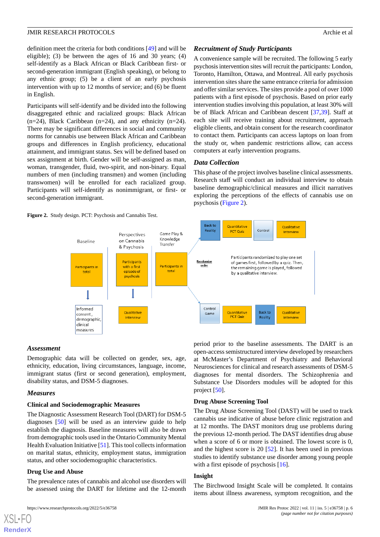definition meet the criteria for both conditions [[49\]](#page-11-2) and will be eligible); (3) be between the ages of 16 and 30 years; (4) self-identify as a Black African or Black Caribbean first- or second-generation immigrant (English speaking), or belong to any ethnic group; (5) be a client of an early psychosis intervention with up to 12 months of service; and (6) be fluent in English.

Participants will self-identify and be divided into the following disaggregated ethnic and racialized groups: Black African  $(n=24)$ , Black Caribbean  $(n=24)$ , and any ethnicity  $(n=24)$ . There may be significant differences in social and community norms for cannabis use between Black African and Caribbean groups and differences in English proficiency, educational attainment, and immigrant status. Sex will be defined based on sex assignment at birth. Gender will be self-assigned as man, woman, transgender, fluid, two-spirit, and non-binary. Equal numbers of men (including transmen) and women (including transwomen) will be enrolled for each racialized group. Participants will self-identify as nonimmigrant, or first- or second-generation immigrant.

<span id="page-5-0"></span>**Figure 2.** Study design. PCT: Psychosis and Cannabis Test.

### *Recruitment of Study Participants*

A convenience sample will be recruited. The following 5 early psychosis intervention sites will recruit the participants: London, Toronto, Hamilton, Ottawa, and Montreal. All early psychosis intervention sites share the same entrance criteria for admission and offer similar services. The sites provide a pool of over 1000 patients with a first episode of psychosis. Based on prior early intervention studies involving this population, at least 30% will be of Black African and Caribbean descent [\[37](#page-10-11),[39\]](#page-10-12). Staff at each site will receive training about recruitment, approach eligible clients, and obtain consent for the research coordinator to contact them. Participants can access laptops on loan from the study or, when pandemic restrictions allow, can access computers at early intervention programs.

# *Data Collection*

This phase of the project involves baseline clinical assessments. Research staff will conduct an individual interview to obtain baseline demographic/clinical measures and illicit narratives exploring the perceptions of the effects of cannabis use on psychosis [\(Figure 2\)](#page-5-0).



### *Assessment*

Demographic data will be collected on gender, sex, age, ethnicity, education, living circumstances, language, income, immigrant status (first or second generation), employment, disability status, and DSM-5 diagnoses.

### *Measures*

### **Clinical and Sociodemographic Measures**

The Diagnostic Assessment Research Tool (DART) for DSM-5 diagnoses [\[50](#page-11-3)] will be used as an interview guide to help establish the diagnosis. Baseline measures will also be drawn from demographic tools used in the Ontario Community Mental Health Evaluation Initiative [\[51](#page-11-4)]. This tool collects information on marital status, ethnicity, employment status, immigration status, and other sociodemographic characteristics.

### **Drug Use and Abuse**

[XSL](http://www.w3.org/Style/XSL)•FO **[RenderX](http://www.renderx.com/)**

The prevalence rates of cannabis and alcohol use disorders will be assessed using the DART for lifetime and the 12-month period prior to the baseline assessments. The DART is an open-access semistructured interview developed by researchers at McMaster's Department of Psychiatry and Behavioral Neurosciences for clinical and research assessments of DSM-5 diagnoses for mental disorders. The Schizophrenia and Substance Use Disorders modules will be adopted for this project [\[50](#page-11-3)].

### **Drug Abuse Screening Tool**

The Drug Abuse Screening Tool (DAST) will be used to track cannabis use indicative of abuse before clinic registration and at 12 months. The DAST monitors drug use problems during the previous 12-month period. The DAST identifies drug abuse when a score of 6 or more is obtained. The lowest score is 0, and the highest score is 20 [\[52](#page-11-5)]. It has been used in previous studies to identify substance use disorder among young people with a first episode of psychosis [[16\]](#page-9-9).

### **Insight**

The Birchwood Insight Scale will be completed. It contains items about illness awareness, symptom recognition, and the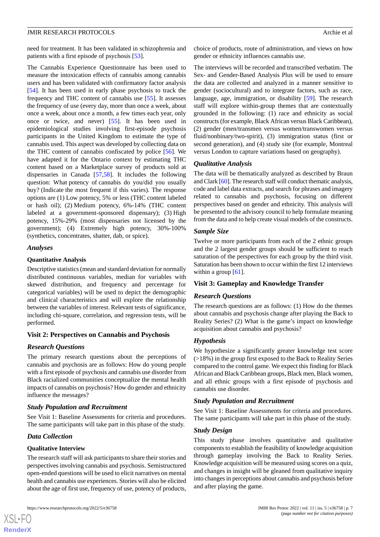need for treatment. It has been validated in schizophrenia and patients with a first episode of psychosis [\[53](#page-11-6)].

The Cannabis Experience Questionnaire has been used to measure the intoxication effects of cannabis among cannabis users and has been validated with confirmatory factor analysis [[54\]](#page-11-7). It has been used in early phase psychosis to track the frequency and THC content of cannabis use [\[55](#page-11-8)]. It assesses the frequency of use (every day, more than once a week, about once a week, about once a month, a few times each year, only once or twice, and never) [\[55](#page-11-8)]. It has been used in epidemiological studies involving first-episode psychosis participants in the United Kingdom to estimate the type of cannabis used. This aspect was developed by collecting data on the THC content of cannabis confiscated by police [\[56](#page-11-9)]. We have adapted it for the Ontario context by estimating THC content based on a Marketplace survey of products sold at dispensaries in Canada [[57](#page-11-10)[,58](#page-11-11)]. It includes the following question: What potency of cannabis do you/did you usually buy? (Indicate the most frequent if this varies). The response options are (1) Low potency, 5% or less (THC content labeled or hash oil); (2) Medium potency, 6%-14% (THC content labeled at a government-sponsored dispensary); (3) High potency, 15%-29% (most dispensaries not licensed by the government); (4) Extremely high potency, 30%-100% (synthetics, concentrates, shatter, dab, or spice).

### *Analyses*

### **Quantitative Analysis**

Descriptive statistics (mean and standard deviation for normally distributed continuous variables, median for variables with skewed distribution, and frequency and percentage for categorical variables) will be used to depict the demographic and clinical characteristics and will explore the relationship between the variables of interest. Relevant tests of significance, including chi-square, correlation, and regression tests, will be performed.

# **Visit 2: Perspectives on Cannabis and Psychosis**

# *Research Questions*

The primary research questions about the perceptions of cannabis and psychosis are as follows: How do young people with a first episode of psychosis and cannabis use disorder from Black racialized communities conceptualize the mental health impacts of cannabis on psychosis? How do gender and ethnicity influence the messages?

# *Study Population and Recruitment*

See Visit 1: Baseline Assessments for criteria and procedures. The same participants will take part in this phase of the study.

# *Data Collection*

[XSL](http://www.w3.org/Style/XSL)•FO **[RenderX](http://www.renderx.com/)**

### **Qualitative Interview**

The research staff will ask participants to share their stories and perspectives involving cannabis and psychosis. Semistructured open-ended questions will be used to elicit narratives on mental health and cannabis use experiences. Stories will also be elicited about the age of first use, frequency of use, potency of products,

choice of products, route of administration, and views on how gender or ethnicity influences cannabis use.

The interviews will be recorded and transcribed verbatim. The Sex- and Gender-Based Analysis Plus will be used to ensure the data are collected and analyzed in a manner sensitive to gender (sociocultural) and to integrate factors, such as race, language, age, immigration, or disability [[59\]](#page-11-12). The research staff will explore within-group themes that are contextually grounded in the following: (1) race and ethnicity as social constructs (for example, Black African versus Black Caribbean), (2) gender (men/transmen versus women/transwomen versus fluid/nonbinary/two-spirit), (3) immigration status (first or second generation), and (4) study site (for example, Montreal versus London to capture variations based on geography).

### *Qualitative Analysis*

The data will be thematically analyzed as described by Braun and Clark [\[60](#page-11-13)]. The research staff will conduct thematic analysis, code and label data extracts, and search for phrases and imagery related to cannabis and psychosis, focusing on different perspectives based on gender and ethnicity. This analysis will be presented to the advisory council to help formulate meaning from the data and to help create visual models of the constructs.

### *Sample Size*

Twelve or more participants from each of the 2 ethnic groups and the 2 largest gender groups should be sufficient to reach saturation of the perspectives for each group by the third visit. Saturation has been shown to occur within the first 12 interviews within a group  $[61]$  $[61]$ .

### **Visit 3: Gameplay and Knowledge Transfer**

# *Research Questions*

The research questions are as follows: (1) How do the themes about cannabis and psychosis change after playing the Back to Reality Series? (2) What is the game's impact on knowledge acquisition about cannabis and psychosis?

# *Hypothesis*

We hypothesize a significantly greater knowledge test score (>18%) in the group first exposed to the Back to Reality Series compared to the control game. We expect this finding for Black African and Black Caribbean groups, Black men, Black women, and all ethnic groups with a first episode of psychosis and cannabis use disorder.

### *Study Population and Recruitment*

See Visit 1: Baseline Assessments for criteria and procedures. The same participants will take part in this phase of the study.

### *Study Design*

This study phase involves quantitative and qualitative components to establish the feasibility of knowledge acquisition through gameplay involving the Back to Reality Series. Knowledge acquisition will be measured using scores on a quiz, and changes in insight will be gleaned from qualitative inquiry into changes in perceptions about cannabis and psychosis before and after playing the game.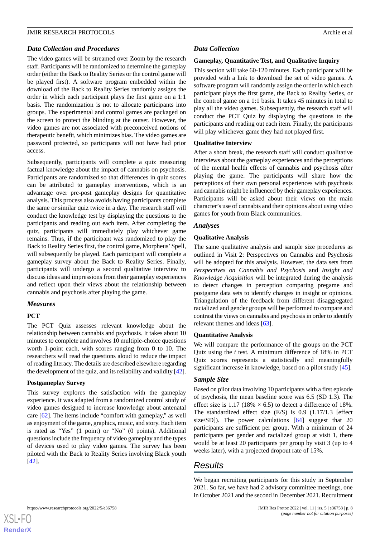### *Data Collection and Procedures*

The video games will be streamed over Zoom by the research staff. Participants will be randomized to determine the gameplay order (either the Back to Reality Series or the control game will be played first). A software program embedded within the download of the Back to Reality Series randomly assigns the order in which each participant plays the first game on a 1:1 basis. The randomization is not to allocate participants into groups. The experimental and control games are packaged on the screen to protect the blinding at the outset. However, the video games are not associated with preconceived notions of therapeutic benefit, which minimizes bias. The video games are password protected, so participants will not have had prior access.

Subsequently, participants will complete a quiz measuring factual knowledge about the impact of cannabis on psychosis. Participants are randomized so that differences in quiz scores can be attributed to gameplay interventions, which is an advantage over pre-post gameplay designs for quantitative analysis. This process also avoids having participants complete the same or similar quiz twice in a day. The research staff will conduct the knowledge test by displaying the questions to the participants and reading out each item. After completing the quiz, participants will immediately play whichever game remains. Thus, if the participant was randomized to play the Back to Reality Series first, the control game, Morpheus'Spell, will subsequently be played. Each participant will complete a gameplay survey about the Back to Reality Series. Finally, participants will undergo a second qualitative interview to discuss ideas and impressions from their gameplay experiences and reflect upon their views about the relationship between cannabis and psychosis after playing the game.

### *Measures*

### **PCT**

The PCT Quiz assesses relevant knowledge about the relationship between cannabis and psychosis. It takes about 10 minutes to complete and involves 10 multiple-choice questions worth 1-point each, with scores ranging from 0 to 10. The researchers will read the questions aloud to reduce the impact of reading literacy. The details are described elsewhere regarding the development of the quiz, and its reliability and validity [[42\]](#page-10-15).

### **Postgameplay Survey**

This survey explores the satisfaction with the gameplay experience. It was adapted from a randomized control study of video games designed to increase knowledge about antenatal care [\[62](#page-11-15)]. The items include "comfort with gameplay," as well as enjoyment of the game, graphics, music, and story. Each item is rated as "Yes" (1 point) or "No" (0 points). Additional questions include the frequency of video gameplay and the types of devices used to play video games. The survey has been piloted with the Back to Reality Series involving Black youth [[42\]](#page-10-15).

### *Data Collection*

### **Gameplay, Quantitative Test, and Qualitative Inquiry**

This section will take 60-120 minutes. Each participant will be provided with a link to download the set of video games. A software program will randomly assign the order in which each participant plays the first game, the Back to Reality Series, or the control game on a 1:1 basis. It takes 45 minutes in total to play all the video games. Subsequently, the research staff will conduct the PCT Quiz by displaying the questions to the participants and reading out each item. Finally, the participants will play whichever game they had not played first.

### **Qualitative Interview**

After a short break, the research staff will conduct qualitative interviews about the gameplay experiences and the perceptions of the mental health effects of cannabis and psychosis after playing the game. The participants will share how the perceptions of their own personal experiences with psychosis and cannabis might be influenced by their gameplay experiences. Participants will be asked about their views on the main character's use of cannabis and their opinions about using video games for youth from Black communities.

### *Analyses*

### **Qualitative Analysis**

The same qualitative analysis and sample size procedures as outlined in Visit 2: Perspectives on Cannabis and Psychosis will be adopted for this analysis. However, the data sets from *Perspectives on Cannabis and Psychosis* and *Insight and Knowledge Acquisition* will be integrated during the analysis to detect changes in perception comparing pregame and postgame data sets to identify changes in insight or opinions. Triangulation of the feedback from different disaggregated racialized and gender groups will be performed to compare and contrast the views on cannabis and psychosis in order to identify relevant themes and ideas [[63\]](#page-11-16).

### **Quantitative Analysis**

We will compare the performance of the groups on the PCT Quiz using the *t* test. A minimum difference of 18% in PCT Quiz scores represents a statistically and meaningfully significant increase in knowledge, based on a pilot study [\[45](#page-10-18)].

# *Sample Size*

Based on pilot data involving 10 participants with a first episode of psychosis, the mean baseline score was 6.5 (SD 1.3). The effect size is 1.17 (18%  $\times$  6.5) to detect a difference of 18%. The standardized effect size (E/S) is 0.9 (1.17/1.3 [effect size/SD]). The power calculations [\[64](#page-11-17)] suggest that 20 participants are sufficient per group. With a minimum of 24 participants per gender and racialized group at visit 1, there would be at least 20 participants per group by visit 3 (up to 4 weeks later), with a projected dropout rate of 15%.

# *Results*

We began recruiting participants for this study in September 2021. So far, we have had 2 advisory committee meetings, one in October 2021 and the second in December 2021. Recruitment

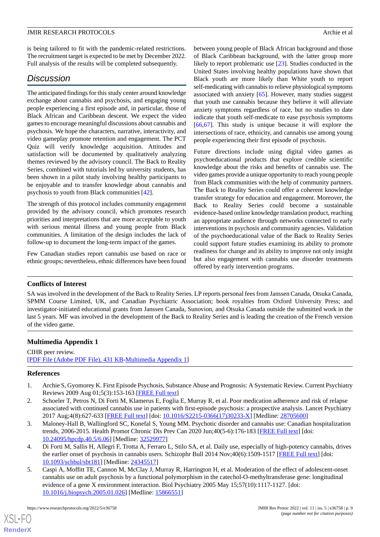is being tailored to fit with the pandemic-related restrictions. The recruitment target is expected to be met by December 2022. Full analysis of the results will be completed subsequently.

# *Discussion*

The anticipated findings for this study center around knowledge exchange about cannabis and psychosis, and engaging young people experiencing a first episode and, in particular, those of Black African and Caribbean descent. We expect the video games to encourage meaningful discussions about cannabis and psychosis. We hope the characters, narrative, interactivity, and video gameplay promote retention and engagement. The PCT Quiz will verify knowledge acquisition. Attitudes and satisfaction will be documented by qualitatively analyzing themes reviewed by the advisory council. The Back to Reality Series, combined with tutorials led by university students, has been shown in a pilot study involving healthy participants to be enjoyable and to transfer knowledge about cannabis and psychosis to youth from Black communities [[42\]](#page-10-15).

The strength of this protocol includes community engagement provided by the advisory council, which promotes research priorities and interpretations that are more acceptable to youth with serious mental illness and young people from Black communities. A limitation of the design includes the lack of follow-up to document the long-term impact of the games.

Few Canadian studies report cannabis use based on race or ethnic groups; nevertheless, ethnic differences have been found

between young people of Black African background and those of Black Caribbean background, with the latter group more likely to report problematic use [[23\]](#page-9-16). Studies conducted in the United States involving healthy populations have shown that Black youth are more likely than White youth to report self-medicating with cannabis to relieve physiological symptoms associated with anxiety [\[65](#page-11-18)]. However, many studies suggest that youth use cannabis because they believe it will alleviate anxiety symptoms regardless of race, but no studies to date indicate that youth self-medicate to ease psychosis symptoms [[66,](#page-11-19)[67\]](#page-11-20). This study is unique because it will explore the intersections of race, ethnicity, and cannabis use among young people experiencing their first episode of psychosis.

Future directions include using digital video games as psychoeducational products that explore credible scientific knowledge about the risks and benefits of cannabis use. The video games provide a unique opportunity to reach young people from Black communities with the help of community partners. The Back to Reality Series could offer a coherent knowledge transfer strategy for education and engagement. Moreover, the Back to Reality Series could become a sustainable evidence-based online knowledge translation product, reaching an appropriate audience through networks connected to early interventions in psychosis and community agencies. Validation of the psychoeducational value of the Back to Reality Series could support future studies examining its ability to promote readiness for change and its ability to improve not only insight but also engagement with cannabis use disorder treatments offered by early intervention programs.

# **Conflicts of Interest**

SA was involved in the development of the Back to Reality Series. LP reports personal fees from Janssen Canada, Otsuka Canada, SPMM Course Limited, UK, and Canadian Psychiatric Association; book royalties from Oxford University Press; and investigator-initiated educational grants from Janssen Canada, Sunovion, and Otsuka Canada outside the submitted work in the last 5 years. MF was involved in the development of the Back to Reality Series and is leading the creation of the French version of the video game.

# <span id="page-8-0"></span>**Multimedia Appendix 1**

<span id="page-8-1"></span>CIHR peer review. [[PDF File \(Adobe PDF File\), 431 KB](https://jmir.org/api/download?alt_name=resprot_v11i5e36758_app1.pdf&filename=0bb7aae9e59bc77addd03f5448da7caf.pdf)-[Multimedia Appendix 1\]](https://jmir.org/api/download?alt_name=resprot_v11i5e36758_app1.pdf&filename=0bb7aae9e59bc77addd03f5448da7caf.pdf)

# **References**

[XSL](http://www.w3.org/Style/XSL)•FO **[RenderX](http://www.renderx.com/)**

- <span id="page-8-2"></span>1. Archie S, Gyomorey K. First Episode Psychosis, Substance Abuse and Prognosis: A Systematic Review. Current Psychiatry Reviews 2009 Aug 01;5(3):153-163 [[FREE Full text\]](https://www.ingentaconnect.com/content/ben/cpsr/2009/00000005/00000003/art00002#)
- <span id="page-8-3"></span>2. Schoeler T, Petros N, Di Forti M, Klamerus E, Foglia E, Murray R, et al. Poor medication adherence and risk of relapse associated with continued cannabis use in patients with first-episode psychosis: a prospective analysis. Lancet Psychiatry 2017 Aug;4(8):627-633 [[FREE Full text](https://linkinghub.elsevier.com/retrieve/pii/S2215-0366(17)30233-X)] [doi: [10.1016/S2215-0366\(17\)30233-X\]](http://dx.doi.org/10.1016/S2215-0366(17)30233-X) [Medline: [28705600](http://www.ncbi.nlm.nih.gov/entrez/query.fcgi?cmd=Retrieve&db=PubMed&list_uids=28705600&dopt=Abstract)]
- <span id="page-8-4"></span>3. Maloney-Hall B, Wallingford SC, Konefal S, Young MM. Psychotic disorder and cannabis use: Canadian hospitalization trends, 2006-2015. Health Promot Chronic Dis Prev Can 2020 Jun;40(5-6):176-183 [[FREE Full text](https://doi.org/10.24095/hpcdp.40.5/6.06)] [doi: [10.24095/hpcdp.40.5/6.06\]](http://dx.doi.org/10.24095/hpcdp.40.5/6.06) [Medline: [32529977](http://www.ncbi.nlm.nih.gov/entrez/query.fcgi?cmd=Retrieve&db=PubMed&list_uids=32529977&dopt=Abstract)]
- 4. Di Forti M, Sallis H, Allegri F, Trotta A, Ferraro L, Stilo SA, et al. Daily use, especially of high-potency cannabis, drives the earlier onset of psychosis in cannabis users. Schizophr Bull 2014 Nov;40(6):1509-1517 [\[FREE Full text\]](http://europepmc.org/abstract/MED/24345517) [doi: [10.1093/schbul/sbt181](http://dx.doi.org/10.1093/schbul/sbt181)] [Medline: [24345517\]](http://www.ncbi.nlm.nih.gov/entrez/query.fcgi?cmd=Retrieve&db=PubMed&list_uids=24345517&dopt=Abstract)
- 5. Caspi A, Moffitt TE, Cannon M, McClay J, Murray R, Harrington H, et al. Moderation of the effect of adolescent-onset cannabis use on adult psychosis by a functional polymorphism in the catechol-O-methyltransferase gene: longitudinal evidence of a gene X environment interaction. Biol Psychiatry 2005 May 15;57(10):1117-1127. [doi: [10.1016/j.biopsych.2005.01.026\]](http://dx.doi.org/10.1016/j.biopsych.2005.01.026) [Medline: [15866551\]](http://www.ncbi.nlm.nih.gov/entrez/query.fcgi?cmd=Retrieve&db=PubMed&list_uids=15866551&dopt=Abstract)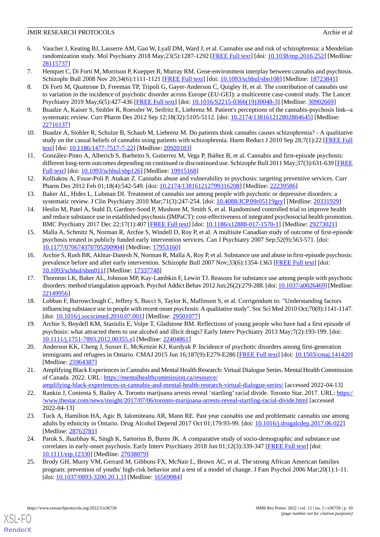- 6. Vaucher J, Keating BJ, Lasserre AM, Gan W, Lyall DM, Ward J, et al. Cannabis use and risk of schizophrenia: a Mendelian randomization study. Mol Psychiatry 2018 May;23(5):1287-1292 [[FREE Full text\]](http://europepmc.org/abstract/MED/28115737) [doi: [10.1038/mp.2016.252\]](http://dx.doi.org/10.1038/mp.2016.252) [Medline: [28115737](http://www.ncbi.nlm.nih.gov/entrez/query.fcgi?cmd=Retrieve&db=PubMed&list_uids=28115737&dopt=Abstract)]
- <span id="page-9-1"></span><span id="page-9-0"></span>7. Henquet C, Di Forti M, Morrison P, Kuepper R, Murray RM. Gene-environment interplay between cannabis and psychosis. Schizophr Bull 2008 Nov 20;34(6):1111-1121 [[FREE Full text](http://europepmc.org/abstract/MED/18723841)] [doi: [10.1093/schbul/sbn108](http://dx.doi.org/10.1093/schbul/sbn108)] [Medline: [18723841](http://www.ncbi.nlm.nih.gov/entrez/query.fcgi?cmd=Retrieve&db=PubMed&list_uids=18723841&dopt=Abstract)]
- 8. Di Forti M, Quattrone D, Freeman TP, Tripoli G, Gayer-Anderson C, Quigley H, et al. The contribution of cannabis use to variation in the incidence of psychotic disorder across Europe (EU-GEI): a multicentre case-control study. The Lancet Psychiatry 2019 May;6(5):427-436 [\[FREE Full text\]](https://linkinghub.elsevier.com/retrieve/pii/S2215-0366(19)30048-3) [doi: [10.1016/S2215-0366\(19\)30048-3](http://dx.doi.org/10.1016/S2215-0366(19)30048-3)] [Medline: [30902669](http://www.ncbi.nlm.nih.gov/entrez/query.fcgi?cmd=Retrieve&db=PubMed&list_uids=30902669&dopt=Abstract)]
- <span id="page-9-3"></span><span id="page-9-2"></span>9. Buadze A, Kaiser S, Stohler R, Roessler W, Seifritz E, Liebrenz M. Patient's perceptions of the cannabis-psychosis link--a systematic review. Curr Pharm Des 2012 Sep 12;18(32):5105-5112. [doi: [10.2174/138161212802884645](http://dx.doi.org/10.2174/138161212802884645)] [Medline: [22716137](http://www.ncbi.nlm.nih.gov/entrez/query.fcgi?cmd=Retrieve&db=PubMed&list_uids=22716137&dopt=Abstract)]
- <span id="page-9-4"></span>10. Buadze A, Stohler R, Schulze B, Schaub M, Liebrenz M. Do patients think cannabis causes schizophrenia? - A qualitative study on the causal beliefs of cannabis using patients with schizophrenia. Harm Reduct J 2010 Sep 28;7(1):22 [[FREE Full](https://harmreductionjournal.biomedcentral.com/articles/10.1186/1477-7517-7-22) [text](https://harmreductionjournal.biomedcentral.com/articles/10.1186/1477-7517-7-22)] [doi: [10.1186/1477-7517-7-22\]](http://dx.doi.org/10.1186/1477-7517-7-22) [Medline: [20920183\]](http://www.ncbi.nlm.nih.gov/entrez/query.fcgi?cmd=Retrieve&db=PubMed&list_uids=20920183&dopt=Abstract)
- <span id="page-9-5"></span>11. González-Pinto A, Alberich S, Barbeito S, Gutierrez M, Vega P, Ibáñez B, et al. Cannabis and first-episode psychosis: different long-term outcomes depending on continued or discontinued use. Schizophr Bull 2011 May;37(3):631-639 [\[FREE](http://europepmc.org/abstract/MED/19915168) [Full text\]](http://europepmc.org/abstract/MED/19915168) [doi: [10.1093/schbul/sbp126](http://dx.doi.org/10.1093/schbul/sbp126)] [Medline: [19915168\]](http://www.ncbi.nlm.nih.gov/entrez/query.fcgi?cmd=Retrieve&db=PubMed&list_uids=19915168&dopt=Abstract)
- <span id="page-9-6"></span>12. Kolliakou A, Fusar-Poli P, Atakan Z. Cannabis abuse and vulnerability to psychosis: targeting preventive services. Curr Pharm Des 2012 Feb 01;18(4):542-549. [doi: [10.2174/138161212799316208](http://dx.doi.org/10.2174/138161212799316208)] [Medline: [22239586](http://www.ncbi.nlm.nih.gov/entrez/query.fcgi?cmd=Retrieve&db=PubMed&list_uids=22239586&dopt=Abstract)]
- <span id="page-9-7"></span>13. Baker AL, Hides L, Lubman DI. Treatment of cannabis use among people with psychotic or depressive disorders: a systematic review. J Clin Psychiatry 2010 Mar;71(3):247-254. [doi: [10.4088/JCP.09r05119gry\]](http://dx.doi.org/10.4088/JCP.09r05119gry) [Medline: [20331929\]](http://www.ncbi.nlm.nih.gov/entrez/query.fcgi?cmd=Retrieve&db=PubMed&list_uids=20331929&dopt=Abstract)
- <span id="page-9-8"></span>14. Heslin M, Patel A, Stahl D, Gardner-Sood P, Mushore M, Smith S, et al. Randomised controlled trial to improve health and reduce substance use in established psychosis (IMPaCT): cost-effectiveness of integrated psychosocial health promotion. BMC Psychiatry 2017 Dec 22;17(1):407 [\[FREE Full text\]](https://bmcpsychiatry.biomedcentral.com/articles/10.1186/s12888-017-1570-1) [doi: [10.1186/s12888-017-1570-1\]](http://dx.doi.org/10.1186/s12888-017-1570-1) [Medline: [29273021\]](http://www.ncbi.nlm.nih.gov/entrez/query.fcgi?cmd=Retrieve&db=PubMed&list_uids=29273021&dopt=Abstract)
- <span id="page-9-9"></span>15. Malla A, Schmitz N, Norman R, Archie S, Windell D, Roy P, et al. A multisite Canadian study of outcome of first-episode psychosis treated in publicly funded early intervention services. Can J Psychiatry 2007 Sep;52(9):563-571. [doi: [10.1177/070674370705200904\]](http://dx.doi.org/10.1177/070674370705200904) [Medline: [17953160\]](http://www.ncbi.nlm.nih.gov/entrez/query.fcgi?cmd=Retrieve&db=PubMed&list_uids=17953160&dopt=Abstract)
- <span id="page-9-10"></span>16. Archie S, Rush BR, Akhtar-Danesh N, Norman R, Malla A, Roy P, et al. Substance use and abuse in first-episode psychosis: prevalence before and after early intervention. Schizophr Bull 2007 Nov;33(6):1354-1363 [\[FREE Full text](http://europepmc.org/abstract/MED/17337748)] [doi: [10.1093/schbul/sbm011](http://dx.doi.org/10.1093/schbul/sbm011)] [Medline: [17337748\]](http://www.ncbi.nlm.nih.gov/entrez/query.fcgi?cmd=Retrieve&db=PubMed&list_uids=17337748&dopt=Abstract)
- <span id="page-9-11"></span>17. Thornton LK, Baker AL, Johnson MP, Kay-Lambkin F, Lewin TJ. Reasons for substance use among people with psychotic disorders: method triangulation approach. Psychol Addict Behav 2012 Jun;26(2):279-288. [doi: [10.1037/a0026469](http://dx.doi.org/10.1037/a0026469)] [Medline: [22149956](http://www.ncbi.nlm.nih.gov/entrez/query.fcgi?cmd=Retrieve&db=PubMed&list_uids=22149956&dopt=Abstract)]
- <span id="page-9-13"></span><span id="page-9-12"></span>18. Lobban F, Barrowclough C, Jeffery S, Bucci S, Taylor K, Mallinson S, et al. Corrigendum to: "Understanding factors influencing substance use in people with recent onset psychosis: A qualitative study". Soc Sci Med 2010 Oct;70(8):1141-1147. [doi: [10.1016/j.socscimed.2010.07.001\]](http://dx.doi.org/10.1016/j.socscimed.2010.07.001) [Medline: [29501077](http://www.ncbi.nlm.nih.gov/entrez/query.fcgi?cmd=Retrieve&db=PubMed&list_uids=29501077&dopt=Abstract)]
- <span id="page-9-14"></span>19. Archie S, Boydell KM, Stasiulis E, Volpe T, Gladstone BM. Reflections of young people who have had a first episode of psychosis: what attracted them to use alcohol and illicit drugs? Early Interv Psychiatry 2013 May;7(2):193-199. [doi: [10.1111/j.1751-7893.2012.00355.x\]](http://dx.doi.org/10.1111/j.1751-7893.2012.00355.x) [Medline: [22404861\]](http://www.ncbi.nlm.nih.gov/entrez/query.fcgi?cmd=Retrieve&db=PubMed&list_uids=22404861&dopt=Abstract)
- <span id="page-9-15"></span>20. Anderson KK, Cheng J, Susser E, McKenzie KJ, Kurdyak P. Incidence of psychotic disorders among first-generation immigrants and refugees in Ontario. CMAJ 2015 Jun 16;187(9):E279-E286 [[FREE Full text](http://www.cmaj.ca/cgi/pmidlookup?view=long&pmid=25964387)] [doi: [10.1503/cmaj.141420](http://dx.doi.org/10.1503/cmaj.141420)] [Medline: [25964387](http://www.ncbi.nlm.nih.gov/entrez/query.fcgi?cmd=Retrieve&db=PubMed&list_uids=25964387&dopt=Abstract)]
- <span id="page-9-16"></span>21. Amplifying Black Experiences in Cannabis and Mental Health Research: Virtual Dialogue Series. Mental Health Commission of Canada. 2022. URL: [https://mentalhealthcommission.ca/resource/](https://mentalhealthcommission.ca/resource/amplifying-black-experiences-in-cannabis-and-mental-health-research-virtual-dialogue-series/) [amplifying-black-experiences-in-cannabis-and-mental-health-research-virtual-dialogue-series/](https://mentalhealthcommission.ca/resource/amplifying-black-experiences-in-cannabis-and-mental-health-research-virtual-dialogue-series/) [accessed 2022-04-13]
- <span id="page-9-17"></span>22. Rankin J, Contenta S, Bailey A. Toronto marijuana arrests reveal 'startling' racial divide. Toronto Star. 2017. URL: [https:/](https://www.thestar.com/news/insight/2017/07/06/toronto-marijuana-arrests-reveal-startling-racial-divide.html) [/www.thestar.com/news/insight/2017/07/06/toronto-marijuana-arrests-reveal-startling-racial-divide.html](https://www.thestar.com/news/insight/2017/07/06/toronto-marijuana-arrests-reveal-startling-racial-divide.html) [accessed 2022-04-13]
- <span id="page-9-18"></span>23. Tuck A, Hamilton HA, Agic B, Ialomiteanu AR, Mann RE. Past year cannabis use and problematic cannabis use among adults by ethnicity in Ontario. Drug Alcohol Depend 2017 Oct 01;179:93-99. [doi: [10.1016/j.drugalcdep.2017.06.022](http://dx.doi.org/10.1016/j.drugalcdep.2017.06.022)] [Medline: [28763781](http://www.ncbi.nlm.nih.gov/entrez/query.fcgi?cmd=Retrieve&db=PubMed&list_uids=28763781&dopt=Abstract)]
- 24. Paruk S, Jhazbhay K, Singh K, Sartorius B, Burns JK. A comparative study of socio-demographic and substance use correlates in early-onset psychosis. Early Interv Psychiatry 2018 Jun 01;12(3):339-347 [[FREE Full text\]](http://europepmc.org/abstract/MED/27038079) [doi: [10.1111/eip.12330\]](http://dx.doi.org/10.1111/eip.12330) [Medline: [27038079](http://www.ncbi.nlm.nih.gov/entrez/query.fcgi?cmd=Retrieve&db=PubMed&list_uids=27038079&dopt=Abstract)]
- 25. Brody GH, Murry VM, Gerrard M, Gibbons FX, McNair L, Brown AC, et al. The strong African American families program: prevention of youths' high-risk behavior and a test of a model of change. J Fam Psychol 2006 Mar;20(1):1-11. [doi: [10.1037/0893-3200.20.1.1](http://dx.doi.org/10.1037/0893-3200.20.1.1)] [Medline: [16569084\]](http://www.ncbi.nlm.nih.gov/entrez/query.fcgi?cmd=Retrieve&db=PubMed&list_uids=16569084&dopt=Abstract)

[XSL](http://www.w3.org/Style/XSL)•FO **[RenderX](http://www.renderx.com/)**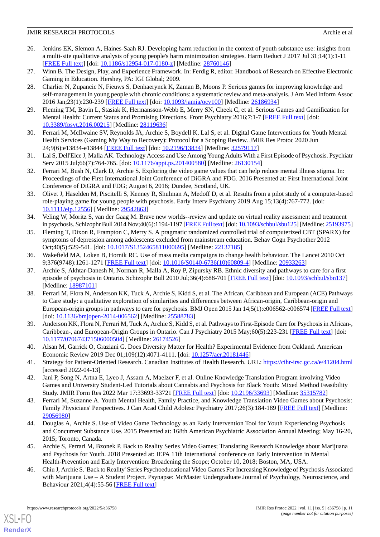- <span id="page-10-0"></span>26. Jenkins EK, Slemon A, Haines-Saah RJ. Developing harm reduction in the context of youth substance use: insights from a multi-site qualitative analysis of young people's harm minimization strategies. Harm Reduct J 2017 Jul 31;14(1):1-11 [[FREE Full text](https://harmreductionjournal.biomedcentral.com/articles/10.1186/s12954-017-0180-z)] [doi: [10.1186/s12954-017-0180-z](http://dx.doi.org/10.1186/s12954-017-0180-z)] [Medline: [28760146\]](http://www.ncbi.nlm.nih.gov/entrez/query.fcgi?cmd=Retrieve&db=PubMed&list_uids=28760146&dopt=Abstract)
- <span id="page-10-2"></span><span id="page-10-1"></span>27. Winn B. The Design, Play, and Experience Framework. In: Ferdig R, editor. Handbook of Research on Effective Electronic Gaming in Education. Hershey, PA: IGI Global; 2009.
- 28. Charlier N, Zupancic N, Fieuws S, Denhaerynck K, Zaman B, Moons P. Serious games for improving knowledge and self-management in young people with chronic conditions: a systematic review and meta-analysis. J Am Med Inform Assoc 2016 Jan;23(1):230-239 [[FREE Full text](http://europepmc.org/abstract/MED/26186934)] [doi: [10.1093/jamia/ocv100](http://dx.doi.org/10.1093/jamia/ocv100)] [Medline: [26186934\]](http://www.ncbi.nlm.nih.gov/entrez/query.fcgi?cmd=Retrieve&db=PubMed&list_uids=26186934&dopt=Abstract)
- <span id="page-10-4"></span><span id="page-10-3"></span>29. Fleming TM, Bavin L, Stasiak K, Hermansson-Webb E, Merry SN, Cheek C, et al. Serious Games and Gamification for Mental Health: Current Status and Promising Directions. Front Psychiatry 2016;7:1-7 [\[FREE Full text\]](https://doi.org/10.3389/fpsyt.2016.00215) [doi: [10.3389/fpsyt.2016.00215\]](http://dx.doi.org/10.3389/fpsyt.2016.00215) [Medline: [28119636\]](http://www.ncbi.nlm.nih.gov/entrez/query.fcgi?cmd=Retrieve&db=PubMed&list_uids=28119636&dopt=Abstract)
- <span id="page-10-5"></span>30. Ferrari M, McIlwaine SV, Reynolds JA, Archie S, Boydell K, Lal S, et al. Digital Game Interventions for Youth Mental Health Services (Gaming My Way to Recovery): Protocol for a Scoping Review. JMIR Res Protoc 2020 Jun 24;9(6):e13834-e13844 [[FREE Full text](https://www.researchprotocols.org/2020/6/e13834/)] [doi: [10.2196/13834\]](http://dx.doi.org/10.2196/13834) [Medline: [32579117](http://www.ncbi.nlm.nih.gov/entrez/query.fcgi?cmd=Retrieve&db=PubMed&list_uids=32579117&dopt=Abstract)]
- <span id="page-10-6"></span>31. Lal S, Dell'Elce J, Malla AK. Technology Access and Use Among Young Adults With a First Episode of Psychosis. Psychiatr Serv 2015 Jul;66(7):764-765. [doi: [10.1176/appi.ps.201400580\]](http://dx.doi.org/10.1176/appi.ps.201400580) [Medline: [26130154\]](http://www.ncbi.nlm.nih.gov/entrez/query.fcgi?cmd=Retrieve&db=PubMed&list_uids=26130154&dopt=Abstract)
- <span id="page-10-7"></span>32. Ferrari M, Bush N, Clark D, Archie S. Exploring the video game values that can help reduce mental illness stigma. In: Proceedings of the First International Joint Conference of DiGRA and FDG. 2016 Presented at: First International Joint Conference of DiGRA and FDG; August 6, 2016; Dundee, Scotland, UK.
- <span id="page-10-8"></span>33. Olivet J, Haselden M, Piscitelli S, Kenney R, Shulman A, Medoff D, et al. Results from a pilot study of a computer-based role-playing game for young people with psychosis. Early Interv Psychiatry 2019 Aug 15;13(4):767-772. [doi: [10.1111/eip.12556\]](http://dx.doi.org/10.1111/eip.12556) [Medline: [29542863](http://www.ncbi.nlm.nih.gov/entrez/query.fcgi?cmd=Retrieve&db=PubMed&list_uids=29542863&dopt=Abstract)]
- <span id="page-10-9"></span>34. Veling W, Moritz S, van der Gaag M. Brave new worlds--review and update on virtual reality assessment and treatment in psychosis. Schizophr Bull 2014 Nov;40(6):1194-1197 [[FREE Full text\]](http://europepmc.org/abstract/MED/25193975) [doi: [10.1093/schbul/sbu125\]](http://dx.doi.org/10.1093/schbul/sbu125) [Medline: [25193975\]](http://www.ncbi.nlm.nih.gov/entrez/query.fcgi?cmd=Retrieve&db=PubMed&list_uids=25193975&dopt=Abstract)
- <span id="page-10-11"></span><span id="page-10-10"></span>35. Fleming T, Dixon R, Frampton C, Merry S. A pragmatic randomized controlled trial of computerized CBT (SPARX) for symptoms of depression among adolescents excluded from mainstream education. Behav Cogn Psychother 2012 Oct;40(5):529-541. [doi: [10.1017/S1352465811000695\]](http://dx.doi.org/10.1017/S1352465811000695) [Medline: [22137185](http://www.ncbi.nlm.nih.gov/entrez/query.fcgi?cmd=Retrieve&db=PubMed&list_uids=22137185&dopt=Abstract)]
- 36. Wakefield MA, Loken B, Hornik RC. Use of mass media campaigns to change health behaviour. The Lancet 2010 Oct 9;376(9748):1261-1271 [[FREE Full text](http://europepmc.org/abstract/MED/20933263)] [doi: [10.1016/S0140-6736\(10\)60809-4\]](http://dx.doi.org/10.1016/S0140-6736(10)60809-4) [Medline: [20933263\]](http://www.ncbi.nlm.nih.gov/entrez/query.fcgi?cmd=Retrieve&db=PubMed&list_uids=20933263&dopt=Abstract)
- 37. Archie S, Akhtar-Danesh N, Norman R, Malla A, Roy P, Zipursky RB. Ethnic diversity and pathways to care for a first episode of psychosis in Ontario. Schizophr Bull 2010 Jul;36(4):688-701 [[FREE Full text](http://europepmc.org/abstract/MED/18987101)] [doi: [10.1093/schbul/sbn137\]](http://dx.doi.org/10.1093/schbul/sbn137) [Medline: [18987101](http://www.ncbi.nlm.nih.gov/entrez/query.fcgi?cmd=Retrieve&db=PubMed&list_uids=18987101&dopt=Abstract)]
- <span id="page-10-12"></span>38. Ferrari M, Flora N, Anderson KK, Tuck A, Archie S, Kidd S, et al. The African, Caribbean and European (ACE) Pathways to Care study: a qualitative exploration of similarities and differences between African-origin, Caribbean-origin and European-origin groups in pathways to care for psychosis. BMJ Open 2015 Jan 14;5(1):e006562-e006574 [\[FREE Full text](https://bmjopen.bmj.com/lookup/pmidlookup?view=long&pmid=25588783)] [doi: [10.1136/bmjopen-2014-006562\]](http://dx.doi.org/10.1136/bmjopen-2014-006562) [Medline: [25588783\]](http://www.ncbi.nlm.nih.gov/entrez/query.fcgi?cmd=Retrieve&db=PubMed&list_uids=25588783&dopt=Abstract)
- <span id="page-10-14"></span><span id="page-10-13"></span>39. Anderson KK, Flora N, Ferrari M, Tuck A, Archie S, Kidd S, et al. Pathways to First-Episode Care for Psychosis in African-, Caribbean-, and European-Origin Groups in Ontario. Can J Psychiatry 2015 May;60(5):223-231 [[FREE Full text](http://europepmc.org/abstract/MED/26174526)] [doi: [10.1177/070674371506000504\]](http://dx.doi.org/10.1177/070674371506000504) [Medline: [26174526\]](http://www.ncbi.nlm.nih.gov/entrez/query.fcgi?cmd=Retrieve&db=PubMed&list_uids=26174526&dopt=Abstract)
- <span id="page-10-15"></span>40. Alsan M, Garrick O, Graziani G. Does Diversity Matter for Health? Experimental Evidence from Oakland. American Economic Review 2019 Dec 01;109(12):4071-4111. [doi: [10.1257/aer.20181446\]](http://dx.doi.org/10.1257/aer.20181446)
- <span id="page-10-16"></span>41. Strategy for Patient-Oriented Research. Canadian Institutes of Health Research. URL: <https://cihr-irsc.gc.ca/e/41204.html> [accessed 2022-04-13]
- <span id="page-10-17"></span>42. Jani P, Song N, Artna E, Lyeo J, Assam A, Maelzer F, et al. Online Knowledge Translation Program involving Video Games and University Student-Led Tutorials about Cannabis and Psychosis for Black Youth: Mixed Method Feasibility Study. JMIR Form Res 2022 Mar 17:33693-33721 [[FREE Full text](https://doi.org/10.2196/33693)] [doi: [10.2196/33693](http://dx.doi.org/10.2196/33693)] [Medline: [35315782](http://www.ncbi.nlm.nih.gov/entrez/query.fcgi?cmd=Retrieve&db=PubMed&list_uids=35315782&dopt=Abstract)]
- <span id="page-10-18"></span>43. Ferrari M, Suzanne A. Youth Mental Health, Family Practice, and Knowledge Translation Video Games about Psychosis: Family Physicians' Perspectives. J Can Acad Child Adolesc Psychiatry 2017;26(3):184-189 [\[FREE Full text\]](http://europepmc.org/abstract/MED/29056980) [Medline: [29056980](http://www.ncbi.nlm.nih.gov/entrez/query.fcgi?cmd=Retrieve&db=PubMed&list_uids=29056980&dopt=Abstract)]
- <span id="page-10-19"></span>44. Douglas A, Archie S. Use of Video Game Technology as an Early Intervention Tool for Youth Experiencing Psychosis and Concurrent Substance Use. 2015 Presented at: 168th American Psychiatric Association Annual Meeting; May 16-20, 2015; Toronto, Canada.
- 45. Archie S, Ferrari M, Bzonek P. Back to Reality Series Video Games; Translating Research Knowledge about Marijuana and Psychosis for Youth. 2018 Presented at: IEPA 11th International conference on Early Intervention in Mental Health-Prevention and Early Intervention: Broadening the Scope; October 10, 2018; Boston, MA, USA.
- 46. Chiu J, Archie S. 'Back to Reality' Series Psychoeducational Video Games For Increasing Knowledge of Psychosis Associated with Marijuana Use – A Student Project. Psynapse: McMaster Undergraduate Journal of Psychology, Neuroscience, and Behaviour 2021;4(4):55-56 [[FREE Full text](https://journals.mcmaster.ca/mujpnb/article/view/2492)]

[XSL](http://www.w3.org/Style/XSL)•FO **[RenderX](http://www.renderx.com/)**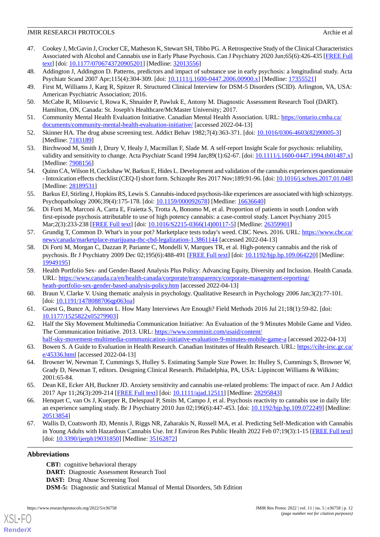- <span id="page-11-0"></span>47. Cookey J, McGavin J, Crocker CE, Matheson K, Stewart SH, Tibbo PG. A Retrospective Study of the Clinical Characteristics Associated with Alcohol and Cannabis use in Early Phase Psychosis. Can J Psychiatry 2020 Jun;65(6):426-435 [\[FREE Full](http://europepmc.org/abstract/MED/32013556) [text](http://europepmc.org/abstract/MED/32013556)] [doi: [10.1177/0706743720905201\]](http://dx.doi.org/10.1177/0706743720905201) [Medline: [32013556\]](http://www.ncbi.nlm.nih.gov/entrez/query.fcgi?cmd=Retrieve&db=PubMed&list_uids=32013556&dopt=Abstract)
- <span id="page-11-2"></span><span id="page-11-1"></span>48. Addington J, Addington D. Patterns, predictors and impact of substance use in early psychosis: a longitudinal study. Acta Psychiatr Scand 2007 Apr;115(4):304-309. [doi: [10.1111/j.1600-0447.2006.00900.x\]](http://dx.doi.org/10.1111/j.1600-0447.2006.00900.x) [Medline: [17355521](http://www.ncbi.nlm.nih.gov/entrez/query.fcgi?cmd=Retrieve&db=PubMed&list_uids=17355521&dopt=Abstract)]
- <span id="page-11-3"></span>49. First M, Williams J, Karg R, Spitzer R. Structured Clinical Interview for DSM-5 Disorders (SCID). Arlington, VA, USA: American Psychiatric Association; 2016.
- <span id="page-11-4"></span>50. McCabe R, Milosevic I, Rowa K, Shnaider P, Pawluk E, Antony M. Diagnostic Assessment Research Tool (DART). Hamilton, ON, Canada: St. Joseph's Healthcare/McMaster University; 2017.
- <span id="page-11-5"></span>51. Community Mental Health Evaluation Initiative. Canadian Mental Health Association. URL: [https://ontario.cmha.ca/](https://ontario.cmha.ca/documents/community-mental-health-evaluation-initiative/) [documents/community-mental-health-evaluation-initiative/](https://ontario.cmha.ca/documents/community-mental-health-evaluation-initiative/) [accessed 2022-04-13]
- <span id="page-11-6"></span>52. Skinner HA. The drug abuse screening test. Addict Behav 1982;7(4):363-371. [doi: [10.1016/0306-4603\(82\)90005-3](http://dx.doi.org/10.1016/0306-4603(82)90005-3)] [Medline: [7183189\]](http://www.ncbi.nlm.nih.gov/entrez/query.fcgi?cmd=Retrieve&db=PubMed&list_uids=7183189&dopt=Abstract)
- <span id="page-11-7"></span>53. Birchwood M, Smith J, Drury V, Healy J, Macmillan F, Slade M. A self-report Insight Scale for psychosis: reliability, validity and sensitivity to change. Acta Psychiatr Scand 1994 Jan;89(1):62-67. [doi: [10.1111/j.1600-0447.1994.tb01487.x](http://dx.doi.org/10.1111/j.1600-0447.1994.tb01487.x)] [Medline: [7908156\]](http://www.ncbi.nlm.nih.gov/entrez/query.fcgi?cmd=Retrieve&db=PubMed&list_uids=7908156&dopt=Abstract)
- <span id="page-11-8"></span>54. Quinn CA, Wilson H, Cockshaw W, Barkus E, Hides L. Development and validation of the cannabis experiences questionnaire - Intoxication effects checklist (CEQ-I) short form. Schizophr Res 2017 Nov;189:91-96. [doi: [10.1016/j.schres.2017.01.048\]](http://dx.doi.org/10.1016/j.schres.2017.01.048) [Medline: [28189531](http://www.ncbi.nlm.nih.gov/entrez/query.fcgi?cmd=Retrieve&db=PubMed&list_uids=28189531&dopt=Abstract)]
- <span id="page-11-9"></span>55. Barkus EJ, Stirling J, Hopkins RS, Lewis S. Cannabis-induced psychosis-like experiences are associated with high schizotypy. Psychopathology 2006;39(4):175-178. [doi: [10.1159/000092678](http://dx.doi.org/10.1159/000092678)] [Medline: [16636640\]](http://www.ncbi.nlm.nih.gov/entrez/query.fcgi?cmd=Retrieve&db=PubMed&list_uids=16636640&dopt=Abstract)
- <span id="page-11-10"></span>56. Di Forti M, Marconi A, Carra E, Fraietta S, Trotta A, Bonomo M, et al. Proportion of patients in south London with first-episode psychosis attributable to use of high potency cannabis: a case-control study. Lancet Psychiatry 2015 Mar;2(3):233-238 [[FREE Full text\]](https://linkinghub.elsevier.com/retrieve/pii/S2215-0366(14)00117-5) [doi: [10.1016/S2215-0366\(14\)00117-5](http://dx.doi.org/10.1016/S2215-0366(14)00117-5)] [Medline: [26359901](http://www.ncbi.nlm.nih.gov/entrez/query.fcgi?cmd=Retrieve&db=PubMed&list_uids=26359901&dopt=Abstract)]
- <span id="page-11-11"></span>57. Grundig T, Common D. What's in your pot? Marketplace tests today's weed. CBC News. 2016. URL: [https://www.cbc.ca/](https://www.cbc.ca/news/canada/marketplace-marijuana-thc-cbd-legalization-1.3861144) [news/canada/marketplace-marijuana-thc-cbd-legalization-1.3861144](https://www.cbc.ca/news/canada/marketplace-marijuana-thc-cbd-legalization-1.3861144) [accessed 2022-04-13]
- <span id="page-11-12"></span>58. Di Forti M, Morgan C, Dazzan P, Pariante C, Mondelli V, Marques TR, et al. High-potency cannabis and the risk of psychosis. Br J Psychiatry 2009 Dec 02;195(6):488-491 [\[FREE Full text\]](http://europepmc.org/abstract/MED/19949195) [doi: [10.1192/bjp.bp.109.064220\]](http://dx.doi.org/10.1192/bjp.bp.109.064220) [Medline: [19949195](http://www.ncbi.nlm.nih.gov/entrez/query.fcgi?cmd=Retrieve&db=PubMed&list_uids=19949195&dopt=Abstract)]
- <span id="page-11-14"></span><span id="page-11-13"></span>59. Health Portfolio Sex- and Gender-Based Analysis Plus Policy: Advancing Equity, Diversity and Inclusion. Health Canada. URL: [https://www.canada.ca/en/health-canada/corporate/transparency/corporate-management-reporting/](https://www.canada.ca/en/health-canada/corporate/transparency/corporate-management-reporting/heath-portfolio-sex-gender-based-analysis-policy.htm) [heath-portfolio-sex-gender-based-analysis-policy.htm](https://www.canada.ca/en/health-canada/corporate/transparency/corporate-management-reporting/heath-portfolio-sex-gender-based-analysis-policy.htm) [accessed 2022-04-13]
- <span id="page-11-15"></span>60. Braun V, Clarke V. Using thematic analysis in psychology. Qualitative Research in Psychology 2006 Jan;3(2):77-101. [doi: [10.1191/1478088706qp063oa\]](http://dx.doi.org/10.1191/1478088706qp063oa)
- <span id="page-11-16"></span>61. Guest G, Bunce A, Johnson L. How Many Interviews Are Enough? Field Methods 2016 Jul 21;18(1):59-82. [doi: [10.1177/1525822x05279903\]](http://dx.doi.org/10.1177/1525822x05279903)
- <span id="page-11-17"></span>62. Half the Sky Movement Multimedia Communication Initiative: An Evaluation of the 9 Minutes Mobile Game and Video. The Communication Initiative. 2013. URL: [https://www.comminit.com/usaid/content/](https://www.comminit.com/usaid/content/half-sky-movement-multimedia-communication-initiative-evaluation-9-minutes-mobile-game-a) [half-sky-movement-multimedia-communication-initiative-evaluation-9-minutes-mobile-game-a](https://www.comminit.com/usaid/content/half-sky-movement-multimedia-communication-initiative-evaluation-9-minutes-mobile-game-a) [accessed 2022-04-13]
- <span id="page-11-18"></span>63. Bowen S. A Guide to Evaluation in Health Research. Canadian Institutes of Health Research. URL: [https://cihr-irsc.gc.ca/](https://cihr-irsc.gc.ca/e/45336.html) [e/45336.html](https://cihr-irsc.gc.ca/e/45336.html) [accessed 2022-04-13]
- <span id="page-11-19"></span>64. Browner W, Newman T, Cummings S, Hulley S. Estimating Sample Size Power. In: Hulley S, Cummings S, Browner W, Grady D, Newman T, editors. Designing Clinical Research. Philadelphia, PA, USA: Lippincott Williams & Wilkins; 2001:65-84.
- <span id="page-11-20"></span>65. Dean KE, Ecker AH, Buckner JD. Anxiety sensitivity and cannabis use-related problems: The impact of race. Am J Addict 2017 Apr 11;26(3):209-214 [\[FREE Full text\]](http://europepmc.org/abstract/MED/28295843) [doi: [10.1111/ajad.12511](http://dx.doi.org/10.1111/ajad.12511)] [Medline: [28295843](http://www.ncbi.nlm.nih.gov/entrez/query.fcgi?cmd=Retrieve&db=PubMed&list_uids=28295843&dopt=Abstract)]
- 66. Henquet C, van Os J, Kuepper R, Delespaul P, Smits M, Campo J, et al. Psychosis reactivity to cannabis use in daily life: an experience sampling study. Br J Psychiatry 2010 Jun 02;196(6):447-453. [doi: [10.1192/bjp.bp.109.072249](http://dx.doi.org/10.1192/bjp.bp.109.072249)] [Medline: [20513854](http://www.ncbi.nlm.nih.gov/entrez/query.fcgi?cmd=Retrieve&db=PubMed&list_uids=20513854&dopt=Abstract)]
- 67. Wallis D, Coatsworth JD, Mennis J, Riggs NR, Zaharakis N, Russell MA, et al. Predicting Self-Medication with Cannabis in Young Adults with Hazardous Cannabis Use. Int J Environ Res Public Health 2022 Feb 07;19(3):1-15 [\[FREE Full text](https://www.mdpi.com/resolver?pii=ijerph19031850)] [doi: [10.3390/ijerph19031850](http://dx.doi.org/10.3390/ijerph19031850)] [Medline: [35162872](http://www.ncbi.nlm.nih.gov/entrez/query.fcgi?cmd=Retrieve&db=PubMed&list_uids=35162872&dopt=Abstract)]

# **Abbreviations**

[XSL](http://www.w3.org/Style/XSL)•FO **[RenderX](http://www.renderx.com/)**

**CBT:** cognitive behavioral therapy **DART:** Diagnostic Assessment Research Tool **DAST:** Drug Abuse Screening Tool **DSM-5:** Diagnostic and Statistical Manual of Mental Disorders, 5th Edition